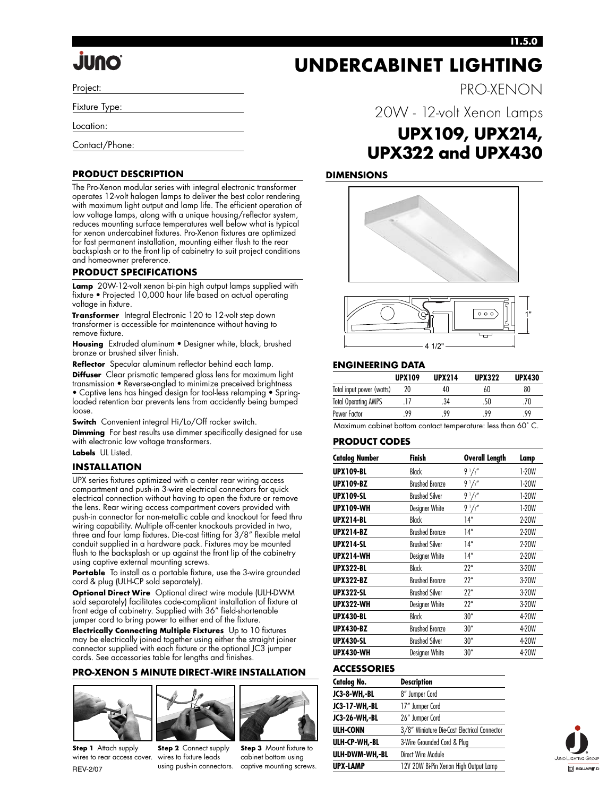#### **I1.5.0**

PRO-XENON

# **JUNO**

Project:

Fixture Type:

Location:

Contact/Phone:

#### **PRODUCT DESCRIPTION**

The Pro-Xenon modular series with integral electronic transformer operates 12-volt halogen lamps to deliver the best color rendering with maximum light output and lamp life. The efficient operation of low voltage lamps, along with a unique housing/reflector system, reduces mounting surface temperatures well below what is typical for xenon undercabinet fixtures. Pro-Xenon fixtures are optimized for fast permanent installation, mounting either flush to the rear backsplash or to the front lip of cabinetry to suit project conditions and homeowner preference.

#### **PRODUCT SPECIFICATIONS**

**Lamp** 20W-12-volt xenon bi-pin high output lamps supplied with fixture • Projected 10,000 hour life based on actual operating voltage in fixture.

**Transformer** Integral Electronic 120 to 12-volt step down transformer is accessible for maintenance without having to remove fixture.

**Housing** Extruded aluminum • Designer white, black, brushed bronze or brushed silver finish.

**Reflector** Specular aluminum reflector behind each lamp.

**Diffuser** Clear prismatic tempered glass lens for maximum light transmission • Reverse-angled to minimize preceived brightness • Captive lens has hinged design for tool-less relamping • Spring-

loaded retention bar prevents lens from accidently being bumped loose.

**Switch** Convenient integral Hi/Lo/Off rocker switch.

**Dimming** For best results use dimmer specifically designed for use with electronic low voltage transformers. **Labels** UL Listed.

#### **INSTALLATION**

UPX series fixtures optimized with a center rear wiring access compartment and push-in 3-wire electrical connectors for quick electrical connection without having to open the fixture or remove the lens. Rear wiring access compartment covers provided with push-in connector for non-metallic cable and knockout for feed thru wiring capability. Multiple off-center knockouts provided in two, three and four lamp fixtures. Die-cast fitting for 3/8" flexible metal conduit supplied in a hardware pack. Fixtures may be mounted flush to the backsplash or up against the front lip of the cabinetry using captive external mounting screws.

**Portable** To install as a portable fixture, use the 3-wire grounded cord & plug (ULH-CP sold separately).

**Optional Direct Wire** Optional direct wire module (ULH-DWM sold separately) facilitates code-compliant installation of fixture at front edge of cabinetry. Supplied with 36" field-shortenable jumper cord to bring power to either end of the fixture.

**Electrically Connecting Multiple Fixtures** Up to 10 fixtures may be electrically joined together using either the straight joiner connector supplied with each fixture or the optional JC3 jumper cords. See accessories table for lengths and finishes.

#### **PRO-XENON 5 MINUTE DIRECT-WIRE INSTALLATION**







**Step 2** Connect supply using push-in connectors. captive mounting screws.

**Step 3** Mount fixture to cabinet bottom using

20W - 12-volt Xenon Lamps **UPX109, UPX214, UPX322 and UPX430**

**UNDERCABINET LIGHTING**

#### **DIMENSIONS**





#### **ENGINEERING DATA**

|                             | <b>UPX109</b> | <b>UPX214</b> | <b>UPX322</b> | <b>UPX430</b> |
|-----------------------------|---------------|---------------|---------------|---------------|
| Total input power (watts)   | 20            | 40            | 60            | 80            |
| <b>Total Operating AMPS</b> |               | .34           | .50           | 70            |
| Power Factor                | 99            | 99            | 99            | 99            |

Maximum cabinet bottom contact temperature: less than 60˚ C.

#### **PRODUCT CODES**

| <b>Catalog Number</b> | Finish                | Overall Length | Lamp    |  |
|-----------------------|-----------------------|----------------|---------|--|
| <b>UPX109-BL</b>      | Black                 | $9\frac{1}{2}$ | $1-20W$ |  |
| <b>UPX109-BZ</b>      | <b>Brushed Bronze</b> | $9\frac{1}{2}$ | $1-20W$ |  |
| <b>UPX109-SL</b>      | <b>Brushed Silver</b> | $9\frac{1}{2}$ | 1-20W   |  |
| <b>UPX109-WH</b>      | Designer White        | $9\frac{1}{2}$ | $1-20W$ |  |
| <b>UPX214-BL</b>      | <b>Black</b>          | 14"            | 2-20W   |  |
| <b>UPX214-BZ</b>      | <b>Brushed Bronze</b> | 14"            | 2-20W   |  |
| <b>UPX214-SL</b>      | <b>Brushed Silver</b> | 14"            | 2-20W   |  |
| <b>UPX214-WH</b>      | Designer White        | 14"            | 2-20W   |  |
| UPX322-BL             | Black                 | 22"            | 3-20W   |  |
| <b>UPX322-BZ</b>      | <b>Brushed Bronze</b> | 22"            | 3-20W   |  |
| <b>UPX322-SL</b>      | <b>Brushed Silver</b> | 22"            | 3-20W   |  |
| UPX322-WH             | Designer White        | 22"            | 3-20W   |  |
| <b>UPX430-BL</b>      | Black                 | 30''           | 4-20W   |  |
| <b>UPX430-BZ</b>      | <b>Brushed Bronze</b> | 30''           | 4-20W   |  |
| UPX430-SL             | <b>Brushed Silver</b> | 30''           | 4-20W   |  |
| UPX430-WH             | Designer White        | 30''           | 4-20W   |  |

#### **ACCESSORIES**

| <b>Description</b>                           |  |  |
|----------------------------------------------|--|--|
| 8" Jumper Cord                               |  |  |
| 17" Jumper Cord                              |  |  |
| 26" Jumper Cord                              |  |  |
| 3/8" Miniature Die-Cast Electrical Connector |  |  |
| 3-Wire Grounded Cord & Plug                  |  |  |
| Direct Wire Module                           |  |  |
| 12V 20W Bi-Pin Xenon High Output Lamp        |  |  |
|                                              |  |  |